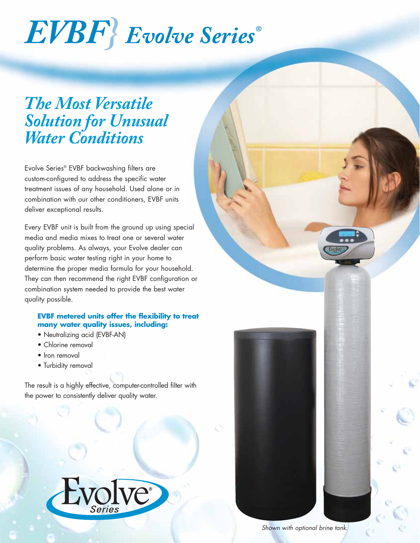# *EVBF} Evolve Series®*

# *The Most Versatile Solution for Unusual Water Conditions*

Evolve Series® EVBF backwashing filters are custom-configured to address the specific water treatment issues of any household. Used alone or in combination with our other conditioners, EVBF units deliver exceptional results.

Every EVBF unit is built from the ground up using special media and media mixes to treat one or several water quality problems. As always, your Evolve dealer can perform basic water testing right in your home to determine the proper media formula for your household. They can then recommend the right EVBF configuration or combination system needed to provide the best water quality possible.

### **EVBF metered units offer the flexibility to treat many water quality issues, including:**

- Neutralizing acid (EVBF-AN)
- Chlorine removal
- Iron removal
- Turbidity removal

The result is a highly effective, computer-controlled filter with the power to consistently deliver quality water.